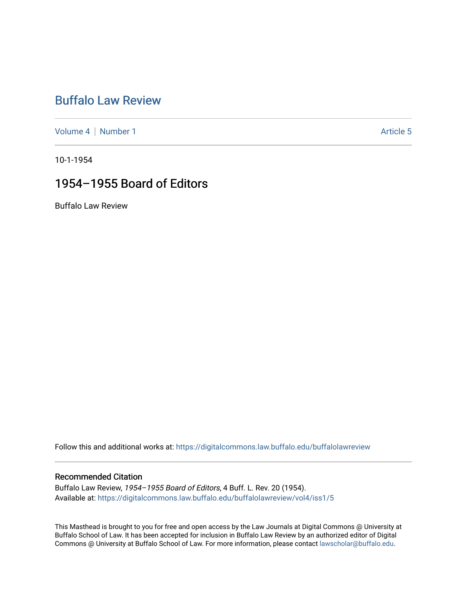## [Buffalo Law Review](https://digitalcommons.law.buffalo.edu/buffalolawreview)

[Volume 4](https://digitalcommons.law.buffalo.edu/buffalolawreview/vol4) | [Number 1](https://digitalcommons.law.buffalo.edu/buffalolawreview/vol4/iss1) Article 5

10-1-1954

## 1954–1955 Board of Editors

Buffalo Law Review

Follow this and additional works at: [https://digitalcommons.law.buffalo.edu/buffalolawreview](https://digitalcommons.law.buffalo.edu/buffalolawreview?utm_source=digitalcommons.law.buffalo.edu%2Fbuffalolawreview%2Fvol4%2Fiss1%2F5&utm_medium=PDF&utm_campaign=PDFCoverPages) 

### Recommended Citation

Buffalo Law Review, 1954–1955 Board of Editors, 4 Buff. L. Rev. 20 (1954). Available at: [https://digitalcommons.law.buffalo.edu/buffalolawreview/vol4/iss1/5](https://digitalcommons.law.buffalo.edu/buffalolawreview/vol4/iss1/5?utm_source=digitalcommons.law.buffalo.edu%2Fbuffalolawreview%2Fvol4%2Fiss1%2F5&utm_medium=PDF&utm_campaign=PDFCoverPages) 

This Masthead is brought to you for free and open access by the Law Journals at Digital Commons @ University at Buffalo School of Law. It has been accepted for inclusion in Buffalo Law Review by an authorized editor of Digital Commons @ University at Buffalo School of Law. For more information, please contact [lawscholar@buffalo.edu](mailto:lawscholar@buffalo.edu).